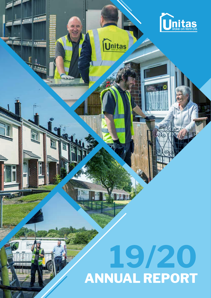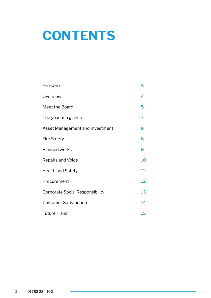# **CONTENTS**

| Foreword                               | 3  |
|----------------------------------------|----|
| Overview                               | 4  |
| Meet the Board                         | 5  |
| The year at a glance                   | 7  |
| Asset Management and Investment        | 8  |
| <b>Fire Safety</b>                     | 8  |
| <b>Planned works</b>                   | 9  |
| <b>Repairs and Voids</b>               | 10 |
| <b>Health and Safety</b>               | 11 |
| Procurement                            | 12 |
| <b>Corporate Social Responsibility</b> | 13 |
| <b>Customer Satisfaction</b>           | 14 |
| <b>Future Plans</b>                    | 15 |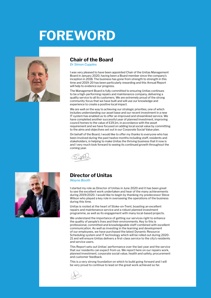# **FOREWORD**



### **Chair of the Board**

*Dr Simon Cupples*

I was very pleased to have been appointed Chair of the Unitas Management Board in January 2020, having been a Board member since the company's inception in 2018. The business has gone from strength to strength in this time and 2019-20 has been particularly rewarding and this Annual Report will help to evidence our progress.

The Management Board is fully committed to ensuring Unitas continues to be a high-performing repairs and maintenance company, delivering a quality service to all its customers. We are extremely proud of the strong community focus that we have built and will use our knowledge and experience to create a positive local impact.

We are well on the way to achieving our strategic priorities, one of which includes understanding our asset base and our recent investment in a new IT system has enabled us to offer an improved and streamlined service. We have completed another successful year of planned investment, improving council homes to the value of £19.1m, in accordance with the asset requirement and we have focused on adding local social value by committing to the aims and objectives set out in our Corporate Social Value plan.

On behalf of the Board, I would like to offer my thanks to everyone who has been involved during the past twelve months including staff, residents and stakeholders, in helping to make Unitas the thriving business that it now is and I very much look forward to seeing its continued growth throughout the coming year.





### **Director of Unitas**

*Wayne Booth*

I started my role as Director of Unitas in June 2020 and it has been great to see the excellent work undertaken and hear of the many achievements during 2019/2020. I would like to begin by thanking my predecessor Steve Wilson who played a key role in overseeing the operations of the business during this time.

Unitas is rooted at the heart of Stoke-on-Trent, boasting an excellent repairs and maintenance service and a robust planned investment programme, as well as its engagement with many local-based projects.

We understand the importance of getting our services right to enhance the quality of people's lives and their environments. Key to this is professional, committed and knowledgeable staff combined with excellent communication. As well as investing in the learning and development of our employees, we have purchased the latest Dynamic Resource Scheduling system and IT technology which will be rolled out during 2020- 21 and will ensure Unitas delivers a first-class service to the city's residents and service users.

This Report sets out Unitas' performance over the last year and the service that our residents can expect from us. We report here on our repairs work, planned investment, corporate social value, health and safety, procurement and customer feedback.

This is a very strong foundation on which to build going forward and I will be very proud to continue to lead on the great work achieved so far.

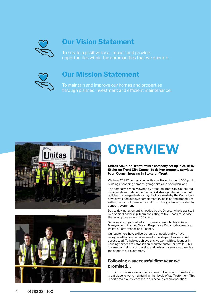

## **Our Vision Statement**

To create a positive local impact and provide opportunities within the communities that we operate.



## **Our Mission Statement**

To maintain and improve our homes and properties through planned investment and efficient maintenance.





# **OVERVIEW**

**Unitas Stoke-on-Trent Ltd is a company set up in 2018 by Stoke-on-Trent City Council to deliver property services to all Council housing in Stoke-on-Trent.** 

We have 17,887 homes along with a portfolio of around 600 public buildings, shopping parades, garage sites and open plan land.

The company is wholly owned by Stoke-on-Trent City Council but has operational independence. Whilst strategic decisions about policies to manage the housing stock are made by the Council, we have developed our own complementary policies and procedures within the council framework and within the guidance provided by central government.

Day to day management is headed by the Director who is assisted by a Senior Leadership Team consisting of five Heads of Service. Unitas employs around 450 staff.

Services are organised into 5 business areas which are: Asset Management, Planned Works, Responsive Repairs, Governance, Policy & Performance and Finance.

Our customers have a diverse range of needs and we have recognised that our services need to be shaped to allow equal access to all. To help us achieve this we work with colleagues in housing services to establish an accurate customer profile. This information helps us to develop and deliver our services based on the needs of our customers.

#### **Following a successful first year we promised…**

To build on the success of the first year of Unitas and to make it a great place to work, maintaining high levels of staff retention. This report details our successes in our second year in operation: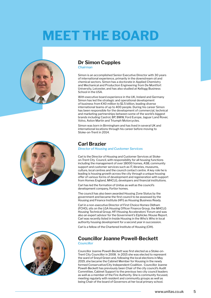# **MEET THE BOARD**







### **Dr Simon Cupples**

*Chairman*

Simon is an accomplished Senior Executive Director with 30 years of international experience, primarily in the downstream oil and chemical sectors. Simon has a doctorate in Applied Chemistry and Mechanical and Production Engineering from De Montfort University, Leicester, and has also studied at Kellogg Business School in the USA.

With executive board experience in the UK, Ireland and Germany Simon has led the strategic and operational development of business from €40 million to \$1.5 billion, leading diverse international teams of up to 400 people. During his career Simon has been responsible for the development of commercial, technical and marketing partnerships between some of the world's biggest brands including Castrol, BP, BMW, Ford Europe, Jaguar Land Rover, Volvo, Aston Martin and Triumph Motorcycles.

Simon was born in Birmingham and has lived in several UK and international locations through his career before moving to Stoke-on-Trent in 2014.

#### **Carl Brazier**

*Director of Housing and Customer Services*

Carl is the Director of Housing and Customer Services at Stokeon-Trent City Council, with responsibility for all housing functions including the management of over 18000 homes, ASB, community support and customer services such as IT, libraries, museums, culture, local centres and the council contact centre. A key role he is leading is housing growth across the city through a unique housing offer of various forms of development and regeneration with support from Homes England, MHCLG, developers and financial institutions.

Carl has led the formation of Unitas as well as the council's development company, Fortior homes.

The council has also been awarded Housing Zone Status by the government and became the first council to be assessed by the Housing and Finance Institute (HFI) as Housing Business Ready.

Carl in a non-executive Director of First Choice Homes Oldham (FCHO), sits on the LGA Housing Officer Finance Group, the MHCLG Housing Technical Group, HFI Housing Accelerators' Forum and was also an expert advisor for the Government's Elphicke /House Report. Carl was recently listed in Inside Housing in the Who's Who in local authority housing development for a second year in succession.

Carl is a fellow of the Chartered Institute of Housing (CIH).

## **Councillor Joanne Powell-Beckett**

*Councillor*

Councillor Joanne Powell-Beckett was first elected as a Stoke-on-Trent City Councillor in 2008. In 2015 she was elected to represent the ward of Sneyd Green and, following the local elections in May 2019, she became the Cabinet Member for Housing in the newly formed Conservative/City Independent Coalition. Councillor Joanne Powell-Beckett has previously been Chair of the city council's Audit Committee, Cabinet Support to the previous two city council leaders as well as a member of the Fire Authority. She is community focused, meeting regularly with resident and community groups as well as being Chair of the board of Governors at her local primary school.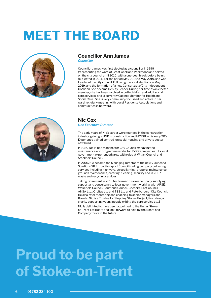# **MEET THE BOARD**



#### **Councillor Ann James**

*Councillor*

Councillor James was first elected as a councillor in 1999 (representing the ward of Great Chell and Packmoor) and served on the city council until 2010, with a one-year break before being re-elected in 2011. For the period May 2018 to May 2019, she was Leader of the city council. Following the local elections in May 2019, and the formation of a new Conservative/City Independent Coalition, she became Deputy Leader. During her time as an elected member, she has been involved in both children and adult social care services, and is currently Cabinet Member for Health and Social Care. She is very community-focussed and active in her ward, regularly meeting with Local Residents Associations and communities in her ward.



### **Nic Cox**

*Non Executive Director*

The early years of Nic's career were founded in the construction industry, gaining a HND in construction and MCIOB in his early 20's. Experience gained centred on social housing and private sector new build.

In 1980 Nic joined Manchester City Council managing the maintenance and programme works for 15000 properties. His local government experienced grew with roles at Wigan Council and Stockport Council.

In 2006 Nic became the Managing Director to the newly launched Solutions SK Ltd., a Stockport Council trading company delivering services including highways, street lighting, property maintenance, grounds maintenance, catering, cleaning, security and in 2007 waste and recycling services.

Taking retirement in 2013 Nic formed his own company supplying support and consultancy to local government working with APSE, Wakefield Council, Southend Council, Cheshire East Council - ANSA Ltd., Orbitas Ltd and TSS Ltd and Peterborough City Council. He also offer mentoring and coaching to senior managers and Boards. Nic is a Trustee for Stepping Stones Project, Rochdale, a charity supporting young people exiting the care service at 16.

Nic is delighted to have been appointed to the Unitas Stokeon-Trent Ltd Board and look forward to helping the Board and Company thrive in the future.

# **Proud to be part of Stoke-on-Trent**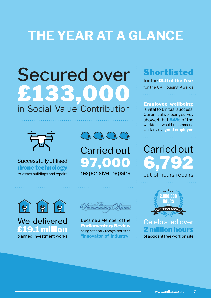# **THE YEAR AT A GLANCE**

# Secured over £133,0

## in Social Value Contribution



Successfully utilised drone technology to asses buildings and repairs



Carried out 97,000 responsive repairs





Became a Member of the Parliamentary Review being nationally recognised as an **"innovator of Industry"**

# Shortlisted

for the **DLO of the Year** for the UK Housing Awards

Employee wellbeing is vital to Unitas' success. Our annual wellbeing survey showed that 84% of the workforce would recommend Unitas as a **good employer.**

Carried out 6,79 out of hours repairs



Celebrated over 2 million hours

of accident free work on site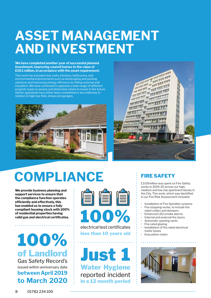# **ASSET MANAGEMENT AND INVESTMENT**

**We have completed another year of successful planned investment, improving council homes to the value of £19.1 million, in accordance with the asset requirement.**

This work has included new roofs, kitchens, bathrooms, and environmental improvements such as landscaping and parking solutions and improving energy efficiency by fitting external wall insulation. We have continued to appraise a wide range of different property types to assess and determine where to invest in the future. Option appraisals have either been completed or are underway in relation to high rise flats, shops and garages.





# **COMPLIANCE**

**We provide business planning and support services to ensure that the compliance function operates efficiently and effectively, this has enabled us to ensure a fully compliant housing stock with 100% of residential properties having valid gas and electrical certificates.** 

## 100% of Landlord Gas Safety Record's issued within anniversary date **between April 2019 to March 2020**



electrical test certificates less than 10 years old

Just 1 Water Hygiene reported incident in a 12 month period

## FIRE SAFETY

£3.05million was spent on Fire Safety works in 2019-20 across our high, medium and low rise apartment blocks in the City. This work, which was identified in our Fire Risk Assessment included:

- Installation of Fire Sprinkler systems
- Fire stopping works, to include fire rated collars and dampers
- Enhanced LD2 smoke alarms
- Internal and external fire doors
- Automatic opening vents
- Fire rated glazing
- Installation of fire rated electrical meter boxes
- **Evacuation chairs**

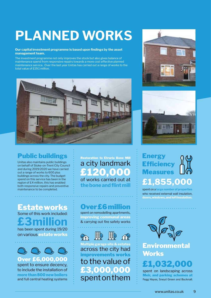# **PLANNED WORKS**

#### **Our capital investment programme is based upon findings by the asset management team.**

The investment programme not only improves the stock but also gives balance of maintenance spend from responsive repairs towards a more cost effective planned maintenance service. Over the last year Unitas has carried out a range of works to the total value of £19.1 million.



## **Public buildings**  $\frac{1}{2}$  Restoration to Etruria Bone Mill

Unitas also maintains public buildings on behalf of Stoke-on-Trent City Council and during 2019/2020 we have carried out a range of works to 600 plus buildings across the city. The budget spend on this service has been in the region of £4 million, this has enabled both responsive repairs and preventive maintenance to be completed.

## Estate works Some of this work included: **£3 million**

has been spent during 19/20 on various **estate works**



#### Over £6,000,000 spent to ensure decency, to include the installation of **more than 800 new boilers** and full central heating systems

# a city landmark £120,000

of works carried out at **the bone and flint mill**

## Over £6 million

spent on remodelling apartments, **improving communal areas** & carrying out fire safety works





**TAN** 

**Multiple garage** across the city had improvements works to the value of £3,000,000 spent on them





## **Energy Efficiency** Measures **£1,855,000**

spent on a **large number of properties** who received external wall insulation, **doors, windows, and loft insulation.**



## **Environmental Works**

# £1.032.00

spent on landscaping across Meir, and parking schemes at Fegg Hayes, Sneyd Green and Bucknall.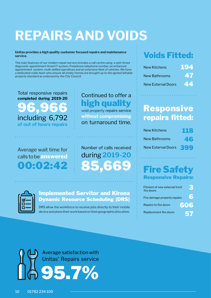# **REPAIRS AND VOIDS**

#### **Unitas provides a high quality customer focused repairs and maintenance service.**

The main features of our modern repair service includes a call centre using a opti-timed diagnostic appointment timed IT system, Freephone telephone number, an enhanced appointment system, multi-skilled operatives and an extensive fleet of vehicles. We have a dedicated voids team who ensure all empty homes are brought up to the agreed lettable property standard as endorsed by the City Council.

Total responsive repairs **completed during 2019-20** 96,966 including 6,792 **of out of hours repairs**

## Continued to offer a high quality

void property repairs service **without compromising** on turnaround time.

## Average wait time for calls to be**answered** 00:02:42

Number of calls received during **2019-20** 85,669

### Implemented Servitor and Kirona Dynamic Resource Scheduling (DRS)

DRS allow the workforce to receive jobs directly to their mobile device and plans their work based on their geographical location.

## Voids Fitted:

| New Kitchens              | 194 |
|---------------------------|-----|
| New Bathrooms             | 47  |
| <b>New External Doors</b> | 44  |

## Responsive repairs fitted:

| New Kitchens           | 1113 |
|------------------------|------|
| New Bathrooms          | 46   |
| New External Doors 399 |      |

## Fire Safety Responsive Repairs:

| Fitment of new external front<br>fire doors |                     |
|---------------------------------------------|---------------------|
| Fire damage property repairs                | $\cdot \mathbf{57}$ |
| Repairs to fire doors                       | 606                 |
| Replacement fire doors                      | 57                  |

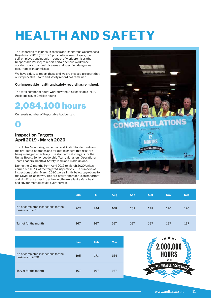# **HEALTH AND SAFETY**

The Reporting of Injuries, Diseases and Dangerous Occurrences Regulations 2013 (RIDDOR) puts duties on employers, the self-employed and people in control of work premises (the Responsible Person) to report certain serious workplace accidents, occupational diseases and specified dangerous occurrences (near misses).

We have a duty to report these and we are pleased to report that our impeccable health and safety record has remained.

#### **Our impeccable health and safety record has remained.**

The total number of hours worked without a Reportable Injury Accident is over 2million hours:

## 2,084,100 hours

Our yearly number of Reportable Accidents is:



#### **Inspection Targets April 2019 - March 2020**

The Unitas Monitoring, Inspection and Audit Standard sets out the pro-active approach and targets to ensure that risks are being managed effectively. The standard sets targets for the Unitas Board, Senior Leadership Team, Managers, Operational Team Leaders, Health & Safety Team and Trade Unions.

During the 12 months from April 2019 to March 2020 Unitas carried out 107% of the targeted inspections. The numbers of inspections during March 2020 were slightly below target due to the Covid-19 lockdown. This pro-active approach is an important and significant aspect to achieving the excellent safety, health and environmental results over the year.



|                                                         | Jun, | Jul | <b>Aug</b> | <b>Sep</b> | Oct | <b>Nov</b> | <b>Dec</b> |
|---------------------------------------------------------|------|-----|------------|------------|-----|------------|------------|
| No of completed inspections for the<br>business in 2019 | 205  | 244 | 168        | 232        | 198 | 190        | 120        |
| Target for the month                                    | 167  | 167 | 167        | 167        | 167 | 167        | 167        |

|                                                         | <b>Jan</b> | <b>Feb</b> | <b>Mar</b> |
|---------------------------------------------------------|------------|------------|------------|
| No of completed inspections for the<br>business in 2020 | 195        | 171        | 154        |
| Target for the month                                    | 167        | 167        | 167        |

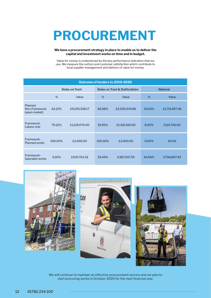# **PROCUREMENT**

#### **We have a procurement strategy in place to enable us to deliver the capital and investment works on time and in budget.**

Value for money is underpinned by the key performance indicators that we use. We measure the outturn and customer satisfaction which contribute to local supplier management and delivery of value for money.

| Outcome of tenders to 2019-2020           |                |               |         |                                |                 |               |
|-------------------------------------------|----------------|---------------|---------|--------------------------------|-----------------|---------------|
|                                           | Stoke-on-Trent |               |         | Stoke-on Trent & Staffordshire | <b>National</b> |               |
|                                           | $\%$           | Value         | %       | Value                          | %               | Value         |
| Planned<br>Non-Framework<br>(open market) | 62.22%         | £5,109,338.17 | 66.98%  | £5,500,539.86                  | 33.02%          | £2,711.697.46 |
| Framework -<br>Labour only                | 79.22%         | £1,129,070.00 | 91.95%  | £1,310,510.00                  | 8.05%           | £114,700.00   |
| Framework -<br><b>Planned works</b>       | 100.00%        | £2,000.00     | 100.00% | £2,000.00                      | 0.00%           | £0.00         |
| Framework -<br>Specialist works           | 9.20%          | £100,763.32   | 35.44%  | £387,937.55                    | 64.56%          | £706,807.93   |







We will continue to maintain an effective procurement service and we plan to start procuring works in October 2020 for the next financial year.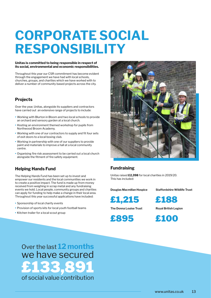# **CORPORATE SOCIAL RESPONSIBILITY**

#### **Unitas is committed to being responsible in respect of its social, environmental and economic responsibilities.**

Throughout this year our CSR commitment has become evident through the engagement we have had with local schools, churches, groups, and charities which we have worked with to deliver a number of community based projects across the city.

#### **Projects**

Over the year, Unitas, alongside its suppliers and contractors have carried out an extensive range of projects to include:

- Working with Blurton in Bloom and two local schools to provide an orchard and sensory garden at a local church.
- Hosting an environment themed workshop for pupils from Northwood Broom Academy.
- Working with one of our contractors to supply and fit four sets of exit doors to a local boxing club.
- Working in partnership with one of our suppliers to provide paint and materials to improve a hall at a local community centre.
- Organising fire risk assessment to be carried out a local church alongside the fitment of fire safety equipment.

#### **Helping Hands Fund**

The Helping Hands Fund has been set up to invest and empower our residents and the local communities we work in to create a positive impact. The fund is made up from money received from weighing in scrap metal and any fundraising events we hold. Local people, community groups and charities can apply for funding to help make a change in their local area. Throughout this year successful applications have included:

- Sponsorship of local charity events
- Provision of sports kits for local youth football teams
- Kitchen trailer for a local scout group



#### **Fundraising**

Unitas raised **£2,398** for local charities in 2019/20. This has included:

**Douglas Macmillan Hospice**

**Staffordshire Wildlife Trust**

£1,215

**The Donna Louise Trust**

£895

£188

**Royal British Legion**

£100

Over the last **12 months** we have secured £133,891 of social value contribution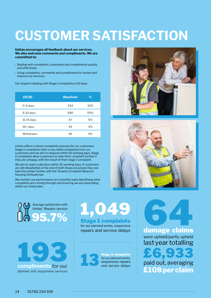# **CUSTOMER SATISFACTION**

**Unitas encourages all feedback about our services. We also welcome comments and compliments. We are committed to:**

- Dealing with complaints, comments and compliments quickly and effectively.
- Using complaints, comments and compliments to review and improve our services.

Our target in dealing with Stage 1 complaints is 10 days:

| 19/20        | <b>Resolved</b> | %   |
|--------------|-----------------|-----|
| $0-5$ days   | 334             | 32% |
| $6-10$ days  | 580             | 55% |
| $11-15$ days | 47              | 5%  |
| $16 + days$  | 43              | 4%  |
| Withdrawn    | 45              | 4%  |

Unitas offers a robust complaints process for our customers. Stage 1 complaints refer to any initial complaints from our customers and we aim to respond within 10 working days. Stage 2 complaints allow customers to take their complaint further if they are unhappy with the result of their stage 1 complaint.

We aim to reach a decision within 20 working days. If customers are still dissatisfied at the end of both these processes they can take the matter further with the Tenants Complaint Board or Housing Ombudsman.

We monitor our performance on a monthly basis identifying what complaints are coming through and ensuring we are responding within our timescales.





Average satisfaction with Unitas' Repairs service



# 95.7% 1,049 Stage 1 complaints

for our planned works, responsive repairs and service delays



Stage 2 complaints for our planned works, responsive repairs and service delays

64 damage claims were upheld/partly upheld last year totalling £6,933

paid out, averaging **£108 per claim**

14 01782 234 100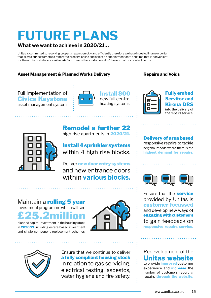# **FUTURE PLANS**

### **What we want to achieve in 2020/21…**

Unitas is committed to resolving property repairs quickly and efficiently therefore we have invested in a new portal that allows our customers to report their repairs online and select an appointment date and time that is convenient for them. The portal is accessible 24/7 and means that customers don't have to call our contact centre.

### Asset Management & Planned Works Delivery **Repairs and Voids**





Install 800 new full central heating systems.



**Fully embed Servitor and Kirona DRS** into the delivery of the repairs service.



Remodel a further 22 high rise apartments in 2020/21.

Install 4 sprinkler systems within 4 high rise blocks.

Deliver new door entry systems and new entrance doors within **various blocks.**

Maintain a **rolling 5 year** investment programme which will see

£25.2million planned capital investment in the housing stock



in 2020/21 including estate based investment and single component replacement schemes.





Ensure that we continue to deliver a fully compliant housing stock in relation to gas servicing, electrical testing, asbestos, water hygiene and fire safety.

#### Delivery of area based responsive repairs to tackle

neighbourhoods where there is the highest demand for repairs.



Ensure that the service provided by Unitas is customer focussed and develop new ways of engaging with customers to gain feedback on responsive repairs service.

Redevelopment of the Unitas website

to provide *improved* customer experience and **increase** the number of customers reporting repairs through the website.